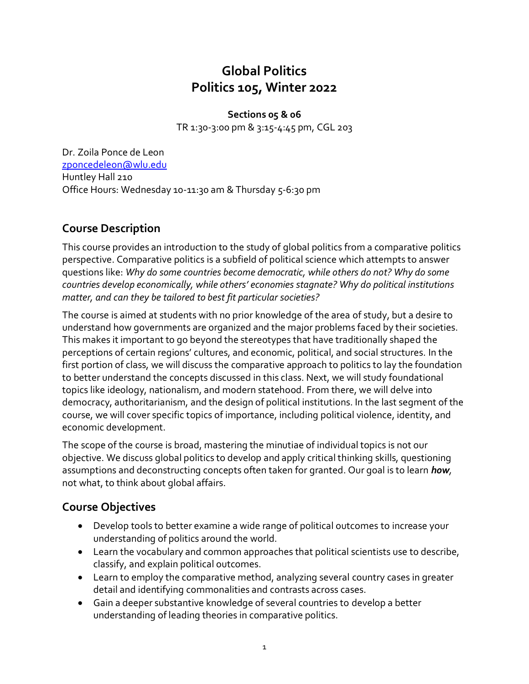# **Global Politics Politics 105, Winter 2022**

**Sections 05 & 06** TR 1:30-3:00 pm & 3:15-4:45 pm, CGL 203

Dr. Zoila Ponce de Leon [zponcedeleon@wlu.edu](mailto:zponcedeleon@wlu.edu) Huntley Hall 210 Office Hours: Wednesday 10-11:30 am & Thursday 5-6:30 pm

# **Course Description**

This course provides an introduction to the study of global politics from a comparative politics perspective. Comparative politics is a subfield of political science which attempts to answer questions like: *Why do some countries become democratic, while others do not? Why do some countries develop economically, while others' economies stagnate? Why do political institutions matter, and can they be tailored to best fit particular societies?*

The course is aimed at students with no prior knowledge of the area of study, but a desire to understand how governments are organized and the major problems faced by their societies. This makes it important to go beyond the stereotypes that have traditionally shaped the perceptions of certain regions' cultures, and economic, political, and social structures. In the first portion of class, we will discuss the comparative approach to politics to lay the foundation to better understand the concepts discussed in this class. Next, we will study foundational topics like ideology, nationalism, and modern statehood. From there, we will delve into democracy, authoritarianism, and the design of political institutions. In the last segment of the course, we will cover specific topics of importance, including political violence, identity, and economic development.

The scope of the course is broad, mastering the minutiae of individual topics is not our objective. We discuss global politics to develop and apply critical thinking skills, questioning assumptions and deconstructing concepts often taken for granted. Our goal is to learn *how,*  not what, to think about global affairs.

## **Course Objectives**

- Develop tools to better examine a wide range of political outcomes to increase your understanding of politics around the world.
- Learn the vocabulary and common approaches that political scientists use to describe, classify, and explain political outcomes.
- Learn to employ the comparative method, analyzing several country cases in greater detail and identifying commonalities and contrasts across cases.
- Gain a deeper substantive knowledge of several countries to develop a better understanding of leading theories in comparative politics.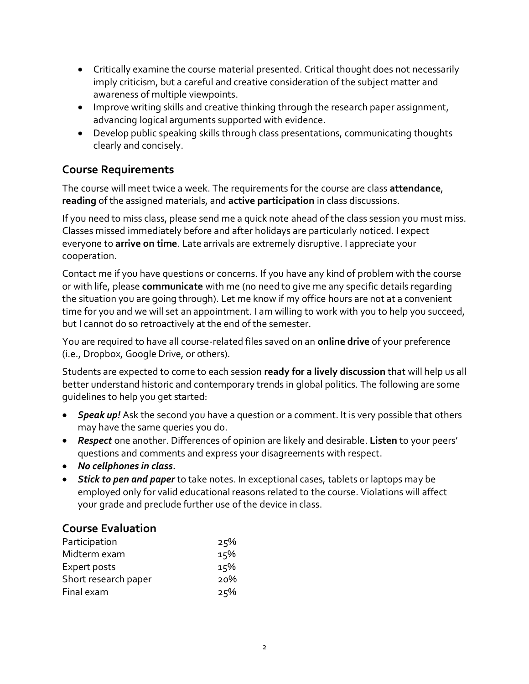- Critically examine the course material presented. Critical thought does not necessarily imply criticism, but a careful and creative consideration of the subject matter and awareness of multiple viewpoints.
- Improve writing skills and creative thinking through the research paper assignment, advancing logical arguments supported with evidence.
- Develop public speaking skills through class presentations, communicating thoughts clearly and concisely.

# **Course Requirements**

The course will meet twice a week. The requirements for the course are class **attendance**, **reading** of the assigned materials, and **active participation** in class discussions.

If you need to miss class, please send me a quick note ahead of the class session you must miss. Classes missed immediately before and after holidays are particularly noticed. I expect everyone to **arrive on time**. Late arrivals are extremely disruptive. I appreciate your cooperation.

Contact me if you have questions or concerns. If you have any kind of problem with the course or with life, please **communicate** with me (no need to give me any specific details regarding the situation you are going through). Let me know if my office hours are not at a convenient time for you and we will set an appointment. I am willing to work with you to help you succeed, but I cannot do so retroactively at the end of the semester.

You are required to have all course-related files saved on an **online drive** of your preference (i.e., Dropbox, Google Drive, or others).

Students are expected to come to each session **ready for a lively discussion** that will help us all better understand historic and contemporary trends in global politics. The following are some guidelines to help you get started:

- *Speak up!* Ask the second you have a question or a comment. It is very possible that others may have the same queries you do.
- *Respect* one another. Differences of opinion are likely and desirable. **Listen** to your peers' questions and comments and express your disagreements with respect.
- *No cellphones in class.*
- *Stick to pen and paper* to take notes. In exceptional cases, tablets or laptops may be employed only for valid educational reasons related to the course. Violations will affect your grade and preclude further use of the device in class.

## **Course Evaluation**

| Participation        | 25% |
|----------------------|-----|
| Midterm exam         | 15% |
| Expert posts         | 15% |
| Short research paper | 20% |
| Final exam           | 25% |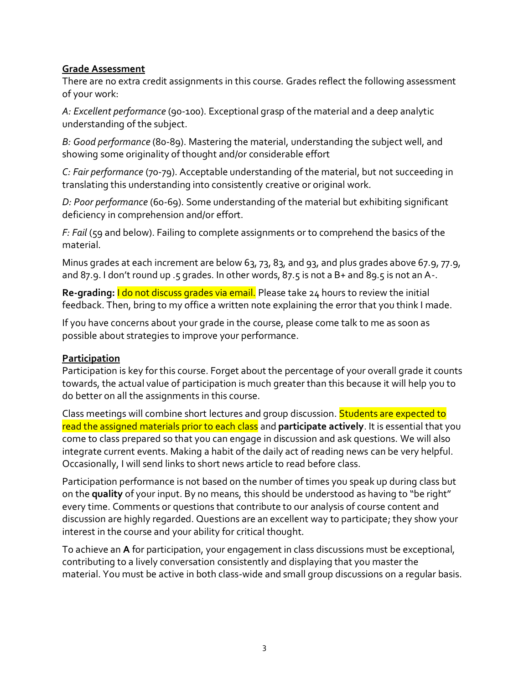#### **Grade Assessment**

There are no extra credit assignments in this course. Grades reflect the following assessment of your work:

*A: Excellent performance* (90-100). Exceptional grasp of the material and a deep analytic understanding of the subject.

*B: Good performance* (80-89). Mastering the material, understanding the subject well, and showing some originality of thought and/or considerable effort

*C: Fair performance* (70-79). Acceptable understanding of the material, but not succeeding in translating this understanding into consistently creative or original work.

*D: Poor performance* (60-69). Some understanding of the material but exhibiting significant deficiency in comprehension and/or effort.

*F: Fail* (59 and below). Failing to complete assignments or to comprehend the basics of the material.

Minus grades at each increment are below 63, 73, 83, and 93, and plus grades above 67.9, 77.9, and 87.9. I don't round up .5 grades. In other words, 87.5 is not a B+ and 89.5 is not an A-.

**Re-grading:** I do not discuss grades via email. Please take 24 hours to review the initial feedback. Then, bring to my office a written note explaining the error that you think I made.

If you have concerns about your grade in the course, please come talk to me as soon as possible about strategies to improve your performance.

#### **Participation**

Participation is key for this course. Forget about the percentage of your overall grade it counts towards, the actual value of participation is much greater than this because it will help you to do better on all the assignments in this course.

Class meetings will combine short lectures and group discussion. Students are expected to read the assigned materials prior to each class and **participate actively**. It is essential that you come to class prepared so that you can engage in discussion and ask questions. We will also integrate current events. Making a habit of the daily act of reading news can be very helpful. Occasionally, I will send links to short news article to read before class.

Participation performance is not based on the number of times you speak up during class but on the **quality** of your input. By no means, this should be understood as having to "be right" every time. Comments or questions that contribute to our analysis of course content and discussion are highly regarded. Questions are an excellent way to participate; they show your interest in the course and your ability for critical thought.

To achieve an **A** for participation, your engagement in class discussions must be exceptional, contributing to a lively conversation consistently and displaying that you master the material. You must be active in both class-wide and small group discussions on a regular basis.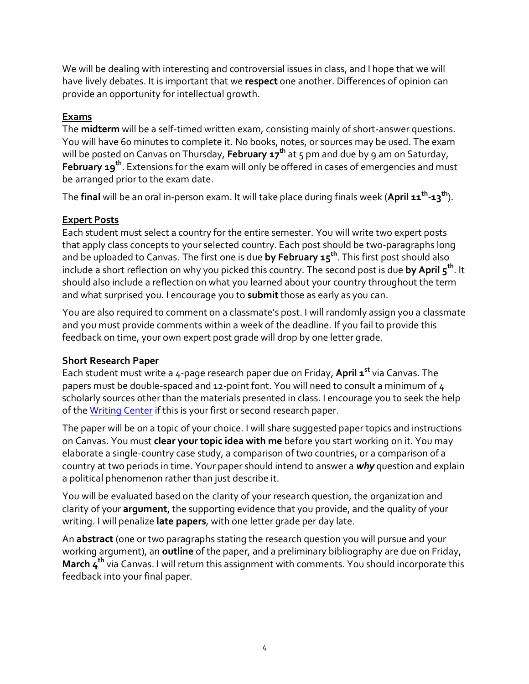We will be dealing with interesting and controversial issues in class, and I hope that we will have lively debates. It is important that we **respect** one another. Differences of opinion can provide an opportunity for intellectual growth.

#### **Exams**

The **midterm** will be a self-timed written exam, consisting mainly of short-answer questions. You will have 60 minutes to complete it. No books, notes, or sources may be used. The exam will be posted on Canvas on Thursday, **February 17 th** at 5 pm and due by 9 am on Saturday, **February 19th**. Extensions for the exam will only be offered in cases of emergencies and must be arranged prior to the exam date.

The **final** will be an oral in-person exam. It will take place during finals week (**April 11th -13 th**).

#### **Expert Posts**

Each student must select a country for the entire semester. You will write two expert posts that apply class concepts to your selected country. Each post should be two-paragraphs long and be uploaded to Canvas. The first one is due **by February 15 th** . This first post should also include a short reflection on why you picked this country. The second post is due **by April 5 th** . It should also include a reflection on what you learned about your country throughout the term and what surprised you. I encourage you to **submit**those as early as you can.

You are also required to comment on a classmate's post. I will randomly assign you a classmate and you must provide comments within a week of the deadline. If you fail to provide this feedback on time, your own expert post grade will drop by one letter grade.

#### **Short Research Paper**

Each student must write a 4-page research paper due on Friday, **April 1 st** via Canvas. The papers must be double-spaced and 12-point font. You will need to consult a minimum of 4 scholarly sources other than the materials presented in class. I encourage you to seek the help of th[e Writing Center](https://www.wlu.edu/writing-program/writing-center) if this is your first or second research paper.

The paper will be on a topic of your choice. I will share suggested paper topics and instructions on Canvas. You must **clear your topic idea with me** before you start working on it. You may elaborate a single-country case study, a comparison of two countries, or a comparison of a country at two periods in time. Your paper should intend to answer a *why* question and explain a political phenomenon rather than just describe it.

You will be evaluated based on the clarity of your research question, the organization and clarity of your **argument**, the supporting evidence that you provide, and the quality of your writing. I will penalize **late papers**, with one letter grade per day late.

An **abstract** (one or two paragraphs stating the research question you will pursue and your working argument), an **outline** of the paper, and a preliminary bibliography are due on Friday, **March 4 th** via Canvas. I will return this assignment with comments. You should incorporate this feedback into your final paper.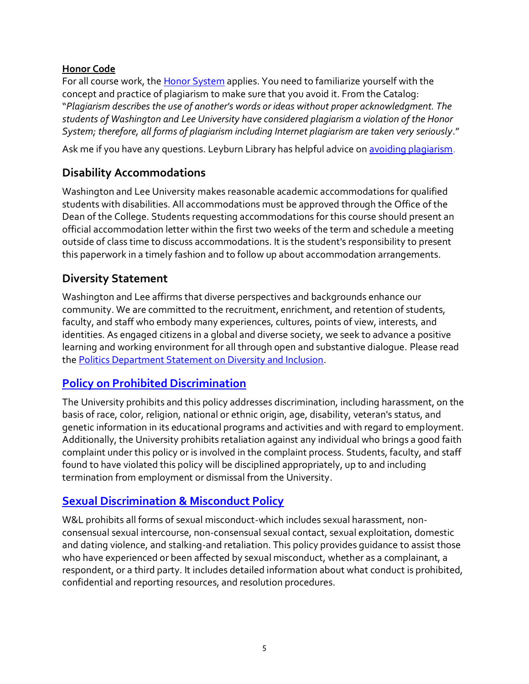#### **Honor Code**

For all course work, the [Honor System](http://www.wlu.edu/executive-committee/the-honor-system/the-white-book#The_Honor_System) applies. You need to familiarize yourself with the concept and practice of plagiarism to make sure that you avoid it. From the Catalog: "*Plagiarism describes the use of another's words or ideas without proper acknowledgment. The students of Washington and Lee University have considered plagiarism a violation of the Honor System; therefore, all forms of plagiarism including Internet plagiarism are taken very seriously*."

Ask me if you have any questions. Leyburn Library has helpful advice o[n avoiding plagiarism.](https://libguides.wlu.edu/plagiarism)

# **Disability Accommodations**

Washington and Lee University makes reasonable academic accommodations for qualified students with disabilities. All accommodations must be approved through the Office of the Dean of the College. Students requesting accommodations for this course should present an official accommodation letter within the first two weeks of the term and schedule a meeting outside of class time to discuss accommodations. It is the student's responsibility to present this paperwork in a timely fashion and to follow up about accommodation arrangements.

## **Diversity Statement**

Washington and Lee affirms that diverse perspectives and backgrounds enhance our community. We are committed to the recruitment, enrichment, and retention of students, faculty, and staff who embody many experiences, cultures, points of view, interests, and identities. As engaged citizens in a global and diverse society, we seek to advance a positive learning and working environment for all through open and substantive dialogue. Please read the [Politics Department Statement on Diversity and Inclusion.](https://my.wlu.edu/the-williams-school/departments-and-programs/politics/852020-a-message-from-the-politics-department)

## **[Policy on Prohibited Discrimination](https://my.wlu.edu/general-counsel/code-of-policies/discrimination-harassment-and-retaliation/university-policy-on-prohibited-discrimination-harassment-and-retaliation-other-than-sex)**

The University prohibits and this policy addresses discrimination, including harassment, on the basis of race, color, religion, national or ethnic origin, age, disability, veteran's status, and genetic information in its educational programs and activities and with regard to employment. Additionally, the University prohibits retaliation against any individual who brings a good faith complaint under this policy or is involved in the complaint process. Students, faculty, and staff found to have violated this policy will be disciplined appropriately, up to and including termination from employment or dismissal from the University.

## **[Sexual Discrimination & Misconduct Policy](https://my.wlu.edu/general-counsel/code-of-policies/discrimination-harassment-and-retaliation/sexual-discrimination-and-misconduct-policy)**

W&L prohibits all forms of sexual misconduct-which includes sexual harassment, nonconsensual sexual intercourse, non-consensual sexual contact, sexual exploitation, domestic and dating violence, and stalking-and retaliation. This policy provides guidance to assist those who have experienced or been affected by sexual misconduct, whether as a complainant, a respondent, or a third party. It includes detailed information about what conduct is prohibited, confidential and reporting resources, and resolution procedures.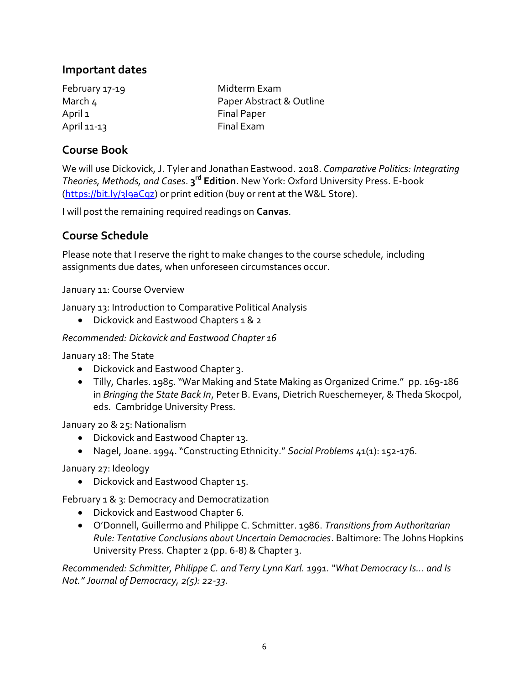### **Important dates**

April 1 Final Paper April 11-13 Final Exam

February 17-19 Midterm Exam March 4 **Paper Abstract & Outline** 

## **Course Book**

We will use Dickovick, J. Tyler and Jonathan Eastwood. 2018. *Comparative Politics: Integrating Theories, Methods, and Cases*. **3 rd Edition**. New York: Oxford University Press. E-book [\(https://bit.ly/3I9aCqz\)](https://bit.ly/3I9aCqz) or print edition (buy or rent at the W&L Store).

I will post the remaining required readings on **Canvas**.

## **Course Schedule**

Please note that I reserve the right to make changes to the course schedule, including assignments due dates, when unforeseen circumstances occur.

January 11: Course Overview

January 13: Introduction to Comparative Political Analysis

• Dickovick and Eastwood Chapters 1 & 2

#### *Recommended: Dickovick and Eastwood Chapter 16*

January 18: The State

- Dickovick and Eastwood Chapter 3.
- Tilly, Charles. 1985. "War Making and State Making as Organized Crime." pp. 169-186 in *Bringing the State Back In*, Peter B. Evans, Dietrich Rueschemeyer, & Theda Skocpol, eds. Cambridge University Press.

January 20 & 25: Nationalism

- Dickovick and Eastwood Chapter 13.
- Nagel, Joane. 1994. "Constructing Ethnicity." *Social Problems* 41(1): 152-176.

January 27: Ideology

• Dickovick and Eastwood Chapter 15.

February 1 & 3: Democracy and Democratization

- Dickovick and Eastwood Chapter 6.
- O'Donnell, Guillermo and Philippe C. Schmitter. 1986. *Transitions from Authoritarian Rule: Tentative Conclusions about Uncertain Democracies*. Baltimore: The Johns Hopkins University Press. Chapter 2 (pp. 6-8) & Chapter 3.

*Recommended: Schmitter, Philippe C. and Terry Lynn Karl. 1991. "What Democracy Is... and Is Not." Journal of Democracy, 2(5): 22-33.*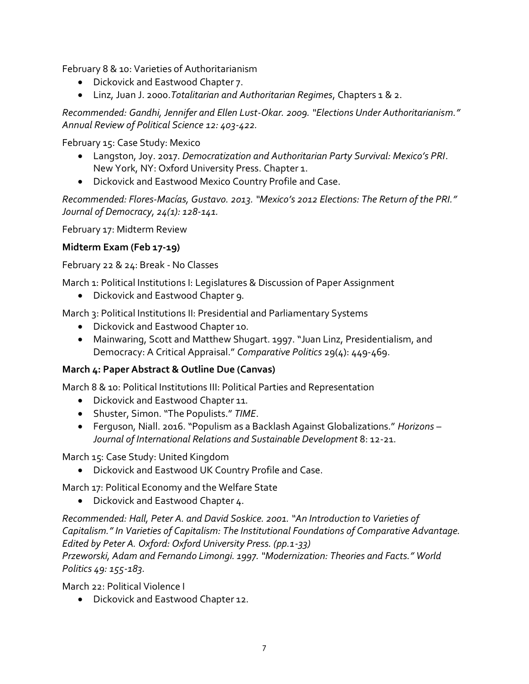February 8 & 10: Varieties of Authoritarianism

- Dickovick and Eastwood Chapter 7.
- Linz, Juan J. 2000.*Totalitarian and Authoritarian Regimes*, Chapters 1 & 2.

*Recommended: Gandhi, Jennifer and Ellen Lust-Okar. 2009. "Elections Under Authoritarianism." Annual Review of Political Science 12: 403-422.* 

February 15: Case Study: Mexico

- Langston, Joy. 2017. *Democratization and Authoritarian Party Survival: Mexico's PRI*. New York, NY: Oxford University Press. Chapter 1.
- Dickovick and Eastwood Mexico Country Profile and Case.

*Recommended: Flores-Macías, Gustavo. 2013. "Mexico's 2012 Elections: The Return of the PRI." Journal of Democracy, 24(1): 128-141.* 

February 17: Midterm Review

#### **Midterm Exam (Feb 17-19)**

February 22 & 24: Break - No Classes

March 1: Political Institutions I: Legislatures & Discussion of Paper Assignment

• Dickovick and Eastwood Chapter 9.

March 3: Political Institutions II: Presidential and Parliamentary Systems

- Dickovick and Eastwood Chapter 10.
- Mainwaring, Scott and Matthew Shugart. 1997. "Juan Linz, Presidentialism, and Democracy: A Critical Appraisal." *Comparative Politics* 29(4): 449-469.

#### **March 4: Paper Abstract & Outline Due (Canvas)**

March 8 & 10: Political Institutions III: Political Parties and Representation

- Dickovick and Eastwood Chapter 11.
- Shuster, Simon. "The Populists." *TIME*.
- Ferguson, Niall. 2016. "Populism as a Backlash Against Globalizations." *Horizons – Journal of International Relations and Sustainable Development* 8: 12-21.

March 15: Case Study: United Kingdom

• Dickovick and Eastwood UK Country Profile and Case.

March 17: Political Economy and the Welfare State

• Dickovick and Eastwood Chapter 4.

*Recommended: Hall, Peter A. and David Soskice. 2001. "An Introduction to Varieties of Capitalism." In Varieties of Capitalism: The Institutional Foundations of Comparative Advantage. Edited by Peter A. Oxford: Oxford University Press. (pp.1-33)*

*Przeworski, Adam and Fernando Limongi. 1997. "Modernization: Theories and Facts." World Politics 49: 155-183.*

March 22: Political Violence I

• Dickovick and Eastwood Chapter 12.